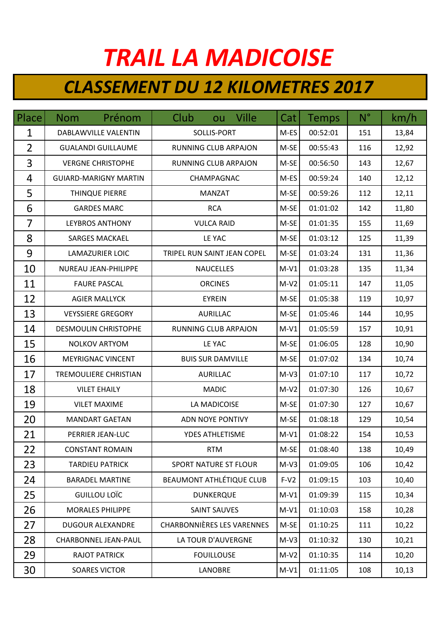## *TRAIL LA MADICOISE*

## *CLASSEMENT DU 12 KILOMETRES 2017*

| Place          | Prénom<br><b>Nom</b>         | ou Ville<br>Club                  | Cat    | <b>Temps</b> | $N^{\circ}$ | km/h  |
|----------------|------------------------------|-----------------------------------|--------|--------------|-------------|-------|
| $\mathbf{1}$   | DABLAWVILLE VALENTIN         | SOLLIS-PORT                       | M-ES   | 00:52:01     | 151         | 13,84 |
| $\overline{2}$ | <b>GUALANDI GUILLAUME</b>    | <b>RUNNING CLUB ARPAJON</b>       | M-SE   | 00:55:43     | 116         | 12,92 |
| 3              | <b>VERGNE CHRISTOPHE</b>     | RUNNING CLUB ARPAJON              | M-SE   | 00:56:50     | 143         | 12,67 |
| 4              | <b>GUIARD-MARIGNY MARTIN</b> | CHAMPAGNAC                        | M-ES   | 00:59:24     | 140         | 12,12 |
| 5              | THINQUE PIERRE               | <b>MANZAT</b>                     | M-SE   | 00:59:26     | 112         | 12,11 |
| 6              | <b>GARDES MARC</b>           | <b>RCA</b>                        | M-SE   | 01:01:02     | 142         | 11,80 |
| 7              | <b>LEYBROS ANTHONY</b>       | <b>VULCA RAID</b>                 | M-SE   | 01:01:35     | 155         | 11,69 |
| 8              | <b>SARGES MACKAEL</b>        | LE YAC                            | M-SE   | 01:03:12     | 125         | 11,39 |
| 9              | <b>LAMAZURIER LOIC</b>       | TRIPEL RUN SAINT JEAN COPEL       | M-SE   | 01:03:24     | 131         | 11,36 |
| 10             | NUREAU JEAN-PHILIPPE         | <b>NAUCELLES</b>                  | $M-V1$ | 01:03:28     | 135         | 11,34 |
| 11             | <b>FAURE PASCAL</b>          | <b>ORCINES</b>                    | $M-V2$ | 01:05:11     | 147         | 11,05 |
| 12             | <b>AGIER MALLYCK</b>         | <b>EYREIN</b>                     | M-SE   | 01:05:38     | 119         | 10,97 |
| 13             | <b>VEYSSIERE GREGORY</b>     | <b>AURILLAC</b>                   | M-SE   | 01:05:46     | 144         | 10,95 |
| 14             | <b>DESMOULIN CHRISTOPHE</b>  | RUNNING CLUB ARPAJON              | $M-V1$ | 01:05:59     | 157         | 10,91 |
| 15             | <b>NOLKOV ARTYOM</b>         | LE YAC                            | M-SE   | 01:06:05     | 128         | 10,90 |
| 16             | <b>MEYRIGNAC VINCENT</b>     | <b>BUIS SUR DAMVILLE</b>          | M-SE   | 01:07:02     | 134         | 10,74 |
| 17             | TREMOULIERE CHRISTIAN        | <b>AURILLAC</b>                   | $M-V3$ | 01:07:10     | 117         | 10,72 |
| 18             | <b>VILET EHAILY</b>          | <b>MADIC</b>                      | $M-V2$ | 01:07:30     | 126         | 10,67 |
| 19             | <b>VILET MAXIME</b>          | LA MADICOISE                      | M-SE   | 01:07:30     | 127         | 10,67 |
| 20             | <b>MANDART GAETAN</b>        | ADN NOYE PONTIVY                  | M-SE   | 01:08:18     | 129         | 10,54 |
| 21             | PERRIER JEAN-LUC             | <b>YDES ATHLETISME</b>            | $M-V1$ | 01:08:22     | 154         | 10,53 |
| 22             | <b>CONSTANT ROMAIN</b>       | <b>RTM</b>                        | M-SE   | 01:08:40     | 138         | 10,49 |
| 23             | <b>TARDIEU PATRICK</b>       | <b>SPORT NATURE ST FLOUR</b>      | $M-V3$ | 01:09:05     | 106         | 10,42 |
| 24             | <b>BARADEL MARTINE</b>       | <b>BEAUMONT ATHLÉTIQUE CLUB</b>   | $F-V2$ | 01:09:15     | 103         | 10,40 |
| 25             | GUILLOU LOÏC                 | <b>DUNKERQUE</b>                  | $M-V1$ | 01:09:39     | 115         | 10,34 |
| 26             | <b>MORALES PHILIPPE</b>      | <b>SAINT SAUVES</b>               | $M-V1$ | 01:10:03     | 158         | 10,28 |
| 27             | <b>DUGOUR ALEXANDRE</b>      | <b>CHARBONNIÈRES LES VARENNES</b> | M-SE   | 01:10:25     | 111         | 10,22 |
| 28             | <b>CHARBONNEL JEAN-PAUL</b>  | LA TOUR D'AUVERGNE                | $M-V3$ | 01:10:32     | 130         | 10,21 |
| 29             | <b>RAJOT PATRICK</b>         | <b>FOUILLOUSE</b>                 | $M-V2$ | 01:10:35     | 114         | 10,20 |
| 30             | <b>SOARES VICTOR</b>         | <b>LANOBRE</b>                    | $M-V1$ | 01:11:05     | 108         | 10,13 |